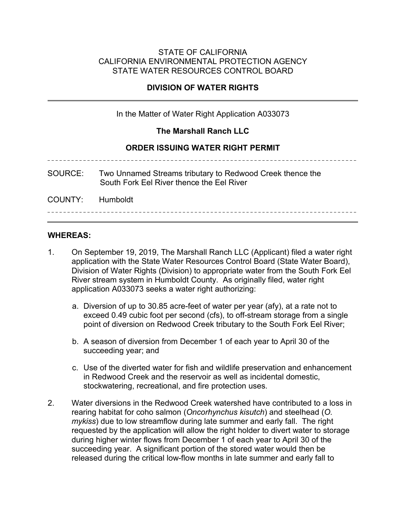### STATE OF CALIFORNIA CALIFORNIA ENVIRONMENTAL PROTECTION AGENCY STATE WATER RESOURCES CONTROL BOARD

# **DIVISION OF WATER RIGHTS**

In the Matter of Water Right Application A033073

### **The Marshall Ranch LLC**

### **ORDER ISSUING WATER RIGHT PERMIT**

SOURCE: Two Unnamed Streams tributary to Redwood Creek thence the South Fork Eel River thence the Eel River COUNTY: Humboldt

#### **WHEREAS:**

- 1. On September 19, 2019, The Marshall Ranch LLC (Applicant) filed a water right application with the State Water Resources Control Board (State Water Board), Division of Water Rights (Division) to appropriate water from the South Fork Eel River stream system in Humboldt County. As originally filed, water right application A033073 seeks a water right authorizing:
	- a. Diversion of up to 30.85 acre-feet of water per year (afy), at a rate not to exceed 0.49 cubic foot per second (cfs), to off-stream storage from a single point of diversion on Redwood Creek tributary to the South Fork Eel River;
	- b. A season of diversion from December 1 of each year to April 30 of the succeeding year; and
	- c. Use of the diverted water for fish and wildlife preservation and enhancement in Redwood Creek and the reservoir as well as incidental domestic, stockwatering, recreational, and fire protection uses.
- 2. Water diversions in the Redwood Creek watershed have contributed to a loss in rearing habitat for coho salmon (*Oncorhynchus kisutch*) and steelhead (*O. mykiss*) due to low streamflow during late summer and early fall. The right requested by the application will allow the right holder to divert water to storage during higher winter flows from December 1 of each year to April 30 of the succeeding year. A significant portion of the stored water would then be released during the critical low-flow months in late summer and early fall to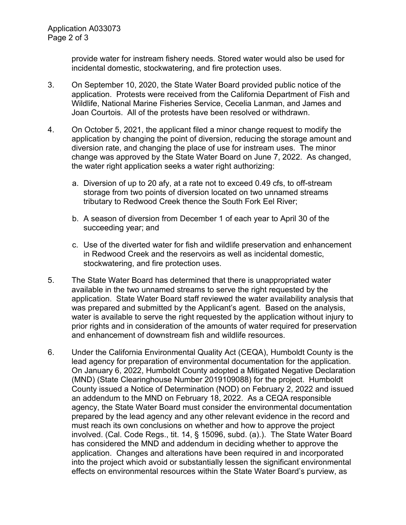provide water for instream fishery needs. Stored water would also be used for incidental domestic, stockwatering, and fire protection uses.

- 3. On September 10, 2020, the State Water Board provided public notice of the application. Protests were received from the California Department of Fish and Wildlife, National Marine Fisheries Service, Cecelia Lanman, and James and Joan Courtois. All of the protests have been resolved or withdrawn.
- 4. On October 5, 2021, the applicant filed a minor change request to modify the application by changing the point of diversion, reducing the storage amount and diversion rate, and changing the place of use for instream uses. The minor change was approved by the State Water Board on June 7, 2022. As changed, the water right application seeks a water right authorizing:
	- a. Diversion of up to 20 afy, at a rate not to exceed 0.49 cfs, to off-stream storage from two points of diversion located on two unnamed streams tributary to Redwood Creek thence the South Fork Eel River;
	- b. A season of diversion from December 1 of each year to April 30 of the succeeding year; and
	- c. Use of the diverted water for fish and wildlife preservation and enhancement in Redwood Creek and the reservoirs as well as incidental domestic, stockwatering, and fire protection uses.
- 5. The State Water Board has determined that there is unappropriated water available in the two unnamed streams to serve the right requested by the application. State Water Board staff reviewed the water availability analysis that was prepared and submitted by the Applicant's agent. Based on the analysis, water is available to serve the right requested by the application without injury to prior rights and in consideration of the amounts of water required for preservation and enhancement of downstream fish and wildlife resources.
- 6. Under the California Environmental Quality Act (CEQA), Humboldt County is the lead agency for preparation of environmental documentation for the application. On January 6, 2022, Humboldt County adopted a Mitigated Negative Declaration (MND) (State Clearinghouse Number 2019109088) for the project. Humboldt County issued a Notice of Determination (NOD) on February 2, 2022 and issued an addendum to the MND on February 18, 2022. As a CEQA responsible agency, the State Water Board must consider the environmental documentation prepared by the lead agency and any other relevant evidence in the record and must reach its own conclusions on whether and how to approve the project involved. (Cal. Code Regs., tit. 14, § 15096, subd. (a).). The State Water Board has considered the MND and addendum in deciding whether to approve the application. Changes and alterations have been required in and incorporated into the project which avoid or substantially lessen the significant environmental effects on environmental resources within the State Water Board's purview, as